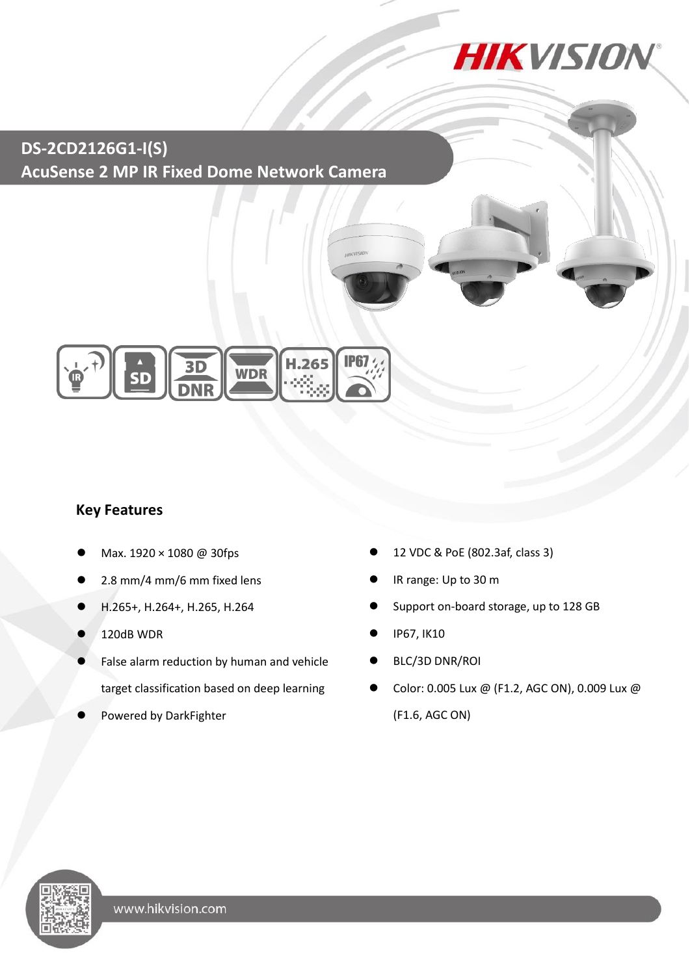**HIKVISION®** 

**DS-2CD2126G1-I(S) AcuSense 2 MP IR Fixed Dome Network Camera**



### **Key Features**

- Max. 1920 × 1080 @ 30fps
- 2.8 mm/4 mm/6 mm fixed lens
- H.265+, H.264+, H.265, H.264
- 120dB WDR
- False alarm reduction by human and vehicle target classification based on deep learning
- Powered by DarkFighter
- 12 VDC & PoE (802.3af, class 3)
- IR range: Up to 30 m
- Support on-board storage, up to 128 GB
- IP67, IK10
- BLC/3D DNR/ROI
- Color: 0.005 Lux @ (F1.2, AGC ON), 0.009 Lux @ (F1.6, AGC ON)

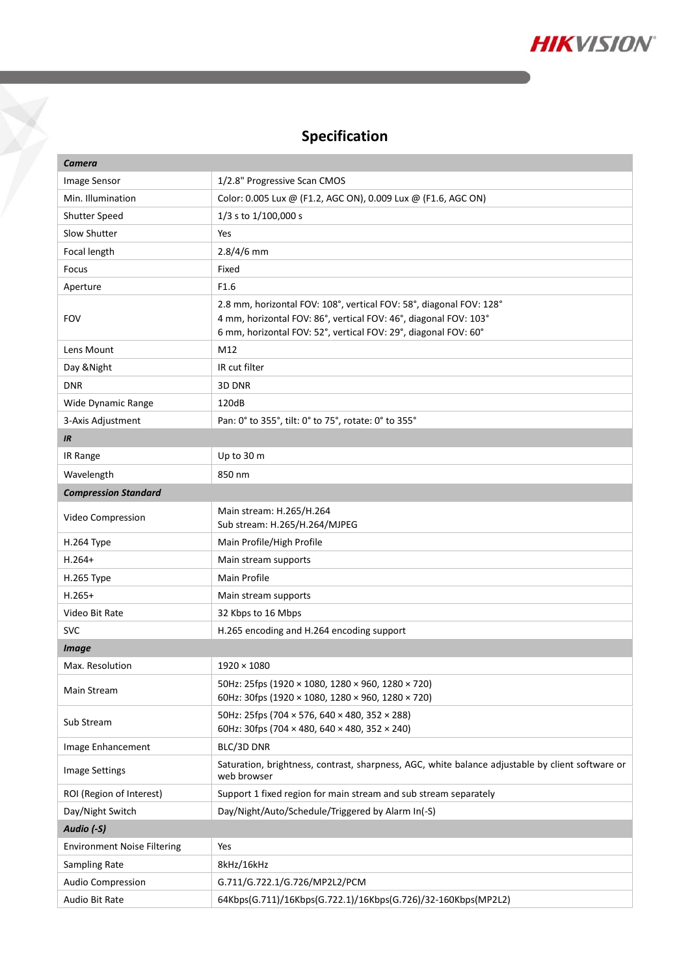

# **Specification**

Y

| Camera                             |                                                                                                                                                                                                            |  |
|------------------------------------|------------------------------------------------------------------------------------------------------------------------------------------------------------------------------------------------------------|--|
| Image Sensor                       | 1/2.8" Progressive Scan CMOS                                                                                                                                                                               |  |
| Min. Illumination                  | Color: 0.005 Lux @ (F1.2, AGC ON), 0.009 Lux @ (F1.6, AGC ON)                                                                                                                                              |  |
| Shutter Speed                      | $1/3$ s to $1/100,000$ s                                                                                                                                                                                   |  |
| Slow Shutter                       | Yes                                                                                                                                                                                                        |  |
| Focal length                       | $2.8/4/6$ mm                                                                                                                                                                                               |  |
| Focus                              | Fixed                                                                                                                                                                                                      |  |
| Aperture                           | F <sub>1.6</sub>                                                                                                                                                                                           |  |
| <b>FOV</b>                         | 2.8 mm, horizontal FOV: 108°, vertical FOV: 58°, diagonal FOV: 128°<br>4 mm, horizontal FOV: 86°, vertical FOV: 46°, diagonal FOV: 103°<br>6 mm, horizontal FOV: 52°, vertical FOV: 29°, diagonal FOV: 60° |  |
| Lens Mount                         | M12                                                                                                                                                                                                        |  |
| Day & Night                        | IR cut filter                                                                                                                                                                                              |  |
| <b>DNR</b>                         | 3D DNR                                                                                                                                                                                                     |  |
| Wide Dynamic Range                 | 120dB                                                                                                                                                                                                      |  |
| 3-Axis Adjustment                  | Pan: 0° to 355°, tilt: 0° to 75°, rotate: 0° to 355°                                                                                                                                                       |  |
| IR                                 |                                                                                                                                                                                                            |  |
| IR Range                           | Up to 30 m                                                                                                                                                                                                 |  |
| Wavelength                         | 850 nm                                                                                                                                                                                                     |  |
| <b>Compression Standard</b>        |                                                                                                                                                                                                            |  |
| Video Compression                  | Main stream: H.265/H.264<br>Sub stream: H.265/H.264/MJPEG                                                                                                                                                  |  |
| H.264 Type                         | Main Profile/High Profile                                                                                                                                                                                  |  |
| $H.264+$                           | Main stream supports                                                                                                                                                                                       |  |
| H.265 Type                         | Main Profile                                                                                                                                                                                               |  |
| $H.265+$                           | Main stream supports                                                                                                                                                                                       |  |
| Video Bit Rate                     | 32 Kbps to 16 Mbps                                                                                                                                                                                         |  |
| <b>SVC</b>                         | H.265 encoding and H.264 encoding support                                                                                                                                                                  |  |
| <b>Image</b>                       |                                                                                                                                                                                                            |  |
| Max. Resolution                    | $1920 \times 1080$                                                                                                                                                                                         |  |
| Main Stream                        | 50Hz: 25fps (1920 × 1080, 1280 × 960, 1280 × 720)<br>60Hz: 30fps (1920 × 1080, 1280 × 960, 1280 × 720)                                                                                                     |  |
| Sub Stream                         | 50Hz: 25fps (704 × 576, 640 × 480, 352 × 288)<br>60Hz: 30fps (704 $\times$ 480, 640 $\times$ 480, 352 $\times$ 240)                                                                                        |  |
| Image Enhancement                  | BLC/3D DNR                                                                                                                                                                                                 |  |
| Image Settings                     | Saturation, brightness, contrast, sharpness, AGC, white balance adjustable by client software or<br>web browser                                                                                            |  |
| ROI (Region of Interest)           | Support 1 fixed region for main stream and sub stream separately                                                                                                                                           |  |
| Day/Night Switch                   | Day/Night/Auto/Schedule/Triggered by Alarm In(-S)                                                                                                                                                          |  |
| Audio (-S)                         |                                                                                                                                                                                                            |  |
| <b>Environment Noise Filtering</b> | Yes                                                                                                                                                                                                        |  |
| Sampling Rate                      | 8kHz/16kHz                                                                                                                                                                                                 |  |
| Audio Compression                  | G.711/G.722.1/G.726/MP2L2/PCM                                                                                                                                                                              |  |
| Audio Bit Rate                     | 64Kbps(G.711)/16Kbps(G.722.1)/16Kbps(G.726)/32-160Kbps(MP2L2)                                                                                                                                              |  |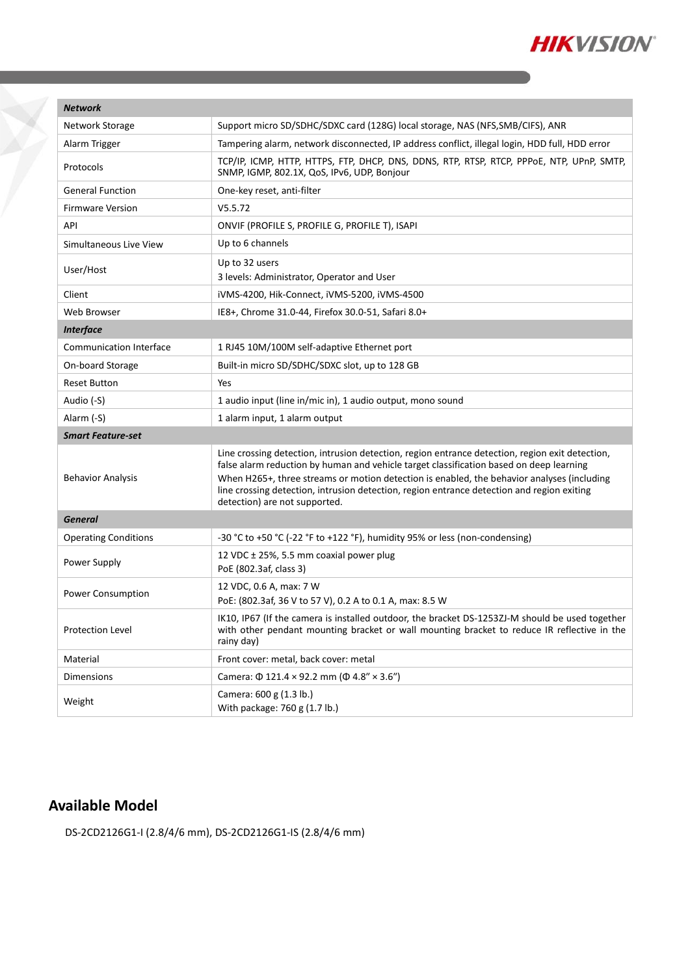

| <b>Network</b>                 |                                                                                                                                                                                                                                                                                                                                                                                                                         |  |
|--------------------------------|-------------------------------------------------------------------------------------------------------------------------------------------------------------------------------------------------------------------------------------------------------------------------------------------------------------------------------------------------------------------------------------------------------------------------|--|
| Network Storage                | Support micro SD/SDHC/SDXC card (128G) local storage, NAS (NFS, SMB/CIFS), ANR                                                                                                                                                                                                                                                                                                                                          |  |
| Alarm Trigger                  | Tampering alarm, network disconnected, IP address conflict, illegal login, HDD full, HDD error                                                                                                                                                                                                                                                                                                                          |  |
| Protocols                      | TCP/IP, ICMP, HTTP, HTTPS, FTP, DHCP, DNS, DDNS, RTP, RTSP, RTCP, PPPOE, NTP, UPnP, SMTP,<br>SNMP, IGMP, 802.1X, QoS, IPv6, UDP, Bonjour                                                                                                                                                                                                                                                                                |  |
| <b>General Function</b>        | One-key reset, anti-filter                                                                                                                                                                                                                                                                                                                                                                                              |  |
| <b>Firmware Version</b>        | V5.5.72                                                                                                                                                                                                                                                                                                                                                                                                                 |  |
| API                            | ONVIF (PROFILE S, PROFILE G, PROFILE T), ISAPI                                                                                                                                                                                                                                                                                                                                                                          |  |
| Simultaneous Live View         | Up to 6 channels                                                                                                                                                                                                                                                                                                                                                                                                        |  |
| User/Host                      | Up to 32 users<br>3 levels: Administrator, Operator and User                                                                                                                                                                                                                                                                                                                                                            |  |
| Client                         | iVMS-4200, Hik-Connect, iVMS-5200, iVMS-4500                                                                                                                                                                                                                                                                                                                                                                            |  |
| Web Browser                    | IE8+, Chrome 31.0-44, Firefox 30.0-51, Safari 8.0+                                                                                                                                                                                                                                                                                                                                                                      |  |
| <b>Interface</b>               |                                                                                                                                                                                                                                                                                                                                                                                                                         |  |
| <b>Communication Interface</b> | 1 RJ45 10M/100M self-adaptive Ethernet port                                                                                                                                                                                                                                                                                                                                                                             |  |
| On-board Storage               | Built-in micro SD/SDHC/SDXC slot, up to 128 GB                                                                                                                                                                                                                                                                                                                                                                          |  |
| <b>Reset Button</b>            | Yes                                                                                                                                                                                                                                                                                                                                                                                                                     |  |
| Audio (-S)                     | 1 audio input (line in/mic in), 1 audio output, mono sound                                                                                                                                                                                                                                                                                                                                                              |  |
| Alarm (-S)                     | 1 alarm input, 1 alarm output                                                                                                                                                                                                                                                                                                                                                                                           |  |
| <b>Smart Feature-set</b>       |                                                                                                                                                                                                                                                                                                                                                                                                                         |  |
| <b>Behavior Analysis</b>       | Line crossing detection, intrusion detection, region entrance detection, region exit detection,<br>false alarm reduction by human and vehicle target classification based on deep learning<br>When H265+, three streams or motion detection is enabled, the behavior analyses (including<br>line crossing detection, intrusion detection, region entrance detection and region exiting<br>detection) are not supported. |  |
| <b>General</b>                 |                                                                                                                                                                                                                                                                                                                                                                                                                         |  |
| <b>Operating Conditions</b>    | -30 °C to +50 °C (-22 °F to +122 °F), humidity 95% or less (non-condensing)                                                                                                                                                                                                                                                                                                                                             |  |
| Power Supply                   | 12 VDC $\pm$ 25%, 5.5 mm coaxial power plug<br>PoE (802.3af, class 3)                                                                                                                                                                                                                                                                                                                                                   |  |
| Power Consumption              | 12 VDC, 0.6 A, max: 7 W<br>PoE: (802.3af, 36 V to 57 V), 0.2 A to 0.1 A, max: 8.5 W                                                                                                                                                                                                                                                                                                                                     |  |
| Protection Level               | IK10, IP67 (If the camera is installed outdoor, the bracket DS-1253ZJ-M should be used together<br>with other pendant mounting bracket or wall mounting bracket to reduce IR reflective in the<br>rainy day)                                                                                                                                                                                                            |  |
| Material                       | Front cover: metal, back cover: metal                                                                                                                                                                                                                                                                                                                                                                                   |  |
| <b>Dimensions</b>              | Camera: $\Phi$ 121.4 × 92.2 mm ( $\Phi$ 4.8" × 3.6")                                                                                                                                                                                                                                                                                                                                                                    |  |
| Weight                         | Camera: 600 g (1.3 lb.)<br>With package: 760 g (1.7 lb.)                                                                                                                                                                                                                                                                                                                                                                |  |

### **Available Model**

Y

DS-2CD2126G1-I (2.8/4/6 mm), DS-2CD2126G1-IS (2.8/4/6 mm)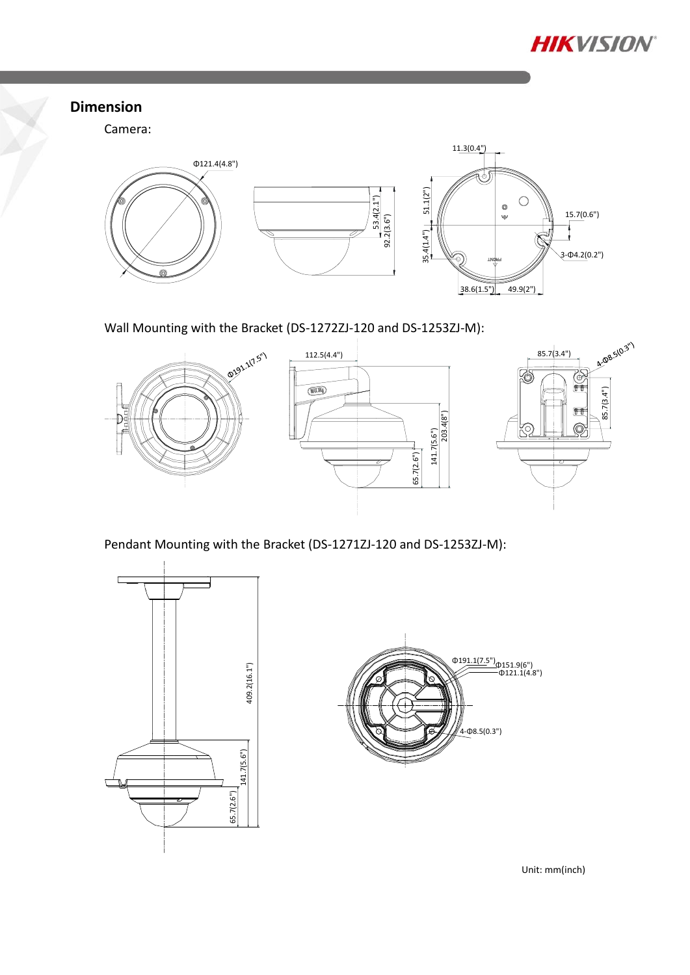

#### **Dimension**

Camera:



Wall Mounting with the Bracket (DS-1272ZJ-120 and DS-1253ZJ-M):



Pendant Mounting with the Bracket (DS-1271ZJ-120 and DS-1253ZJ-M):





Unit: mm(inch)